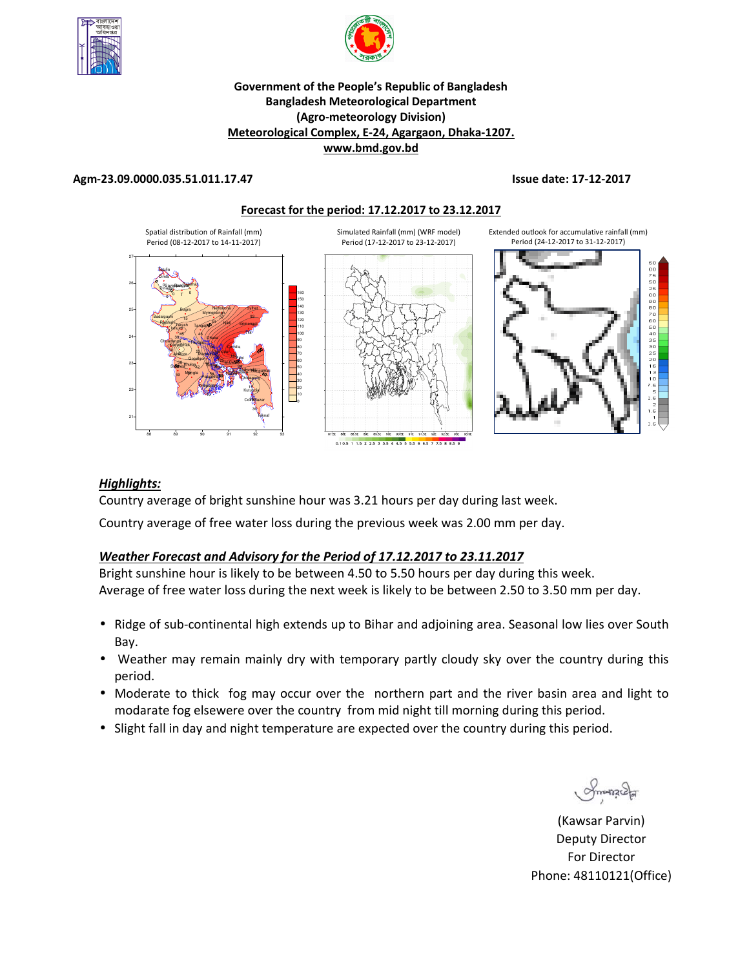



#### **Government of the People's Republic of Bangladesh Bangladesh Meteorological Department (Agro-meteorology Division) Meteorological Complex, E-24, Agargaon, Dhaka-1207. www.bmd.gov.bd**

#### **Agm-23.09.0000.035.51.011.17.47 Issue date: 17-12-2017**





#### *Highlights:*

Country average of bright sunshine hour was 3.21 hours per day during last week.

Country average of free water loss during the previous week was 2.00 mm per day.

### *Weather Forecast and Advisory for the Period of 17.12.2017 to 23.11.2017*

Bright sunshine hour is likely to be between 4.50 to 5.50 hours per day during this week. Average of free water loss during the next week is likely to be between 2.50 to 3.50 mm per day.

- Ridge of sub-continental high extends up to Bihar and adjoining area. Seasonal low lies over South Bay.
- Weather may remain mainly dry with temporary partly cloudy sky over the country during this period.
- Moderate to thick fog may occur over the northern part and the river basin area and light to modarate fog elsewere over the country from mid night till morning during this period.
- Slight fall in day and night temperature are expected over the country during this period.

Smanacha

**N.** (Kawsar Parvin) Deputy Director For Director Phone: 48110121(Office)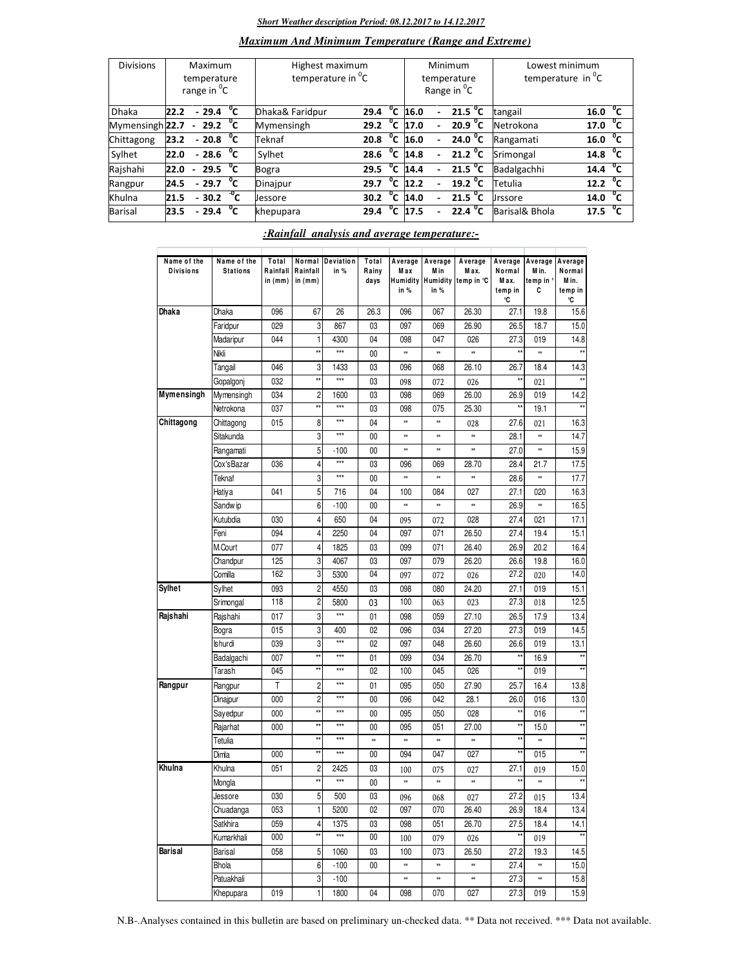#### *Short Weather description Period: 08.12.2017 to 14.12.2017*

## *Maximum And Minimum Temperature (Range and Extreme)*

| <b>Divisions</b> | Maximum<br>temperature<br>range in <sup>o</sup> C |        |                                  |    | Highest maximum<br>temperature in <sup>o</sup> C |      |                | Minimum<br>temperature<br>Range in <sup>o</sup> C | Lowest minimum<br>temperature in $^{\circ}$ C |                   |                |                          |
|------------------|---------------------------------------------------|--------|----------------------------------|----|--------------------------------------------------|------|----------------|---------------------------------------------------|-----------------------------------------------|-------------------|----------------|--------------------------|
| <b>Dhaka</b>     | 22.2                                              |        | $-29.4$                          | °c | Dhaka& Faridpur                                  | 29.4 | $^{\circ}$ c   | 16.0                                              |                                               | $21.5 \text{ °C}$ | tangail        | °⊂<br>16.0               |
| Mymensingh 22.7  |                                                   |        | $-29.2\text{ }^{\circ}$ C        |    | Mymensingh                                       | 29.2 | $^{\circ}$ c   | 17.0                                              |                                               | 20.9 $^{\circ}$ C | Netrokona      | $^{\circ}$ c<br>17.0     |
| Chittagong       | 23.2                                              |        | $-20.8\degree$ C                 |    | Teknaf                                           | 20.8 | °c             | 16.0                                              | $\overline{\phantom{0}}$                      | $24.0\degree$ C   | Rangamati      | 16.0 $\sqrt[\bullet]{C}$ |
| Sylhet           | 22.0                                              |        | $-28.6\text{ }^{\circ}\text{C}$  |    | Sylhet                                           | 28.6 | °c             | 14.8                                              | $\overline{\phantom{a}}$                      | 21.2 $^{\circ}$ C | Srimongal      | 14.8 $\overline{C}$      |
| Rajshahi         | 22.0                                              | $\sim$ | $\overline{29.5}$ <sup>o</sup> C |    | Bogra                                            | 29.5 | $^0$ C         | 14.4                                              |                                               | $21.5\text{ °C}$  | Badalgachhi    | 14.4 $^{\circ}$ C        |
| Rangpur          | 24.5                                              |        | $-29.7 °C$                       |    | Dinajpur                                         | 29.7 | $^{\circ}$ c   | 12.2                                              |                                               | $19.2 \text{ °C}$ | Tetulia        | $12.2 \text{ °C}$        |
| Khulna           | 21.5                                              |        | $-30.2 \frac{10}{C}$             |    | <b>Jessore</b>                                   | 30.2 | $^{\circ}$ c   | 14.0                                              |                                               | 21.5 $\degree$ C  | <b>Jrssore</b> | 14.0 $\overline{C}$      |
| Barisal          | 23.5                                              |        | $-29.4$                          | °⊂ | khepupara                                        | 29.4 | $\overline{C}$ | 17.5                                              |                                               | 22.4 $^{\circ}$ C | Barisal& Bhola | 17.5 $^{0}C$             |

#### *:Rainfall analysis and average temperature:-*

| Name of the<br><b>Divisions</b> | Name of the<br><b>Stations</b> | Total<br>Rainfall<br>in (mm) | Rainfall<br>in (mm) | Normal Deviation<br>in % | Total<br>Rainy<br>days | Average<br>M a x<br>in % | Average<br>M in<br><b>Humidity Humidity</b><br>in $%$ | Average<br>M ax.<br>temp in °C | Average<br>Normal<br>M ax.<br>temp in<br>°C | Average<br>M in.<br>temp in °<br>c | Average<br>Normal<br>M in.<br>temp in<br>°C |
|---------------------------------|--------------------------------|------------------------------|---------------------|--------------------------|------------------------|--------------------------|-------------------------------------------------------|--------------------------------|---------------------------------------------|------------------------------------|---------------------------------------------|
| Dhaka                           | <b>Dhaka</b>                   | 096                          | 67                  | 26                       | 26.3                   | 096                      | 067                                                   | 26.30                          | 27.1                                        | 19.8                               | 15.6                                        |
|                                 | Faridpur                       | 029                          | 3                   | 867                      | 03                     | 097                      | 069                                                   | 26.90                          | 26.5                                        | 18.7                               | 15.0                                        |
|                                 | Madaripur                      | 044                          | $\mathbf{1}$        | 4300                     | 04                     | 098                      | 047                                                   | 026                            | 27.3                                        | 019                                | 14.8                                        |
|                                 | Nikli                          |                              | **                  | ***                      | $00\,$                 | **                       | ×                                                     | *                              | **                                          | ×                                  |                                             |
|                                 | Tangail                        | 046                          | 3                   | 1433                     | 03                     | 096                      | 068                                                   | 26.10                          | 26.7                                        | 18.4                               | 14.3                                        |
|                                 | Gopalgonj                      | 032                          | $\star\star$        | $***$                    | 03                     | 098                      | 072                                                   | 026                            |                                             | 021                                |                                             |
| Mymensingh                      | Mymensingh                     | 034                          | $\overline{c}$      | 1600                     | 03                     | 098                      | 069                                                   | 26.00                          | 26.9                                        | 019                                | 14.2                                        |
|                                 | Netrokona                      | 037                          | $\star\star$        | $***$                    | 03                     | 098                      | 075                                                   | 25.30                          | $^{\star\star}$                             | 19.1                               |                                             |
| Chittagong                      | Chittagong                     | 015                          | 8                   | ***                      | 04                     | **                       | **                                                    | 028                            | 27.6                                        | 021                                | 16.3                                        |
|                                 | Sitakunda                      |                              | 3                   | $***$                    | $00\,$                 | ×                        | **                                                    | *                              | 28.1                                        | ×                                  | 14.7                                        |
|                                 | Rangamati                      |                              | 5                   | $-100$                   | 00                     | ×                        | **                                                    | ×                              | 27.0                                        | *                                  | 15.9                                        |
|                                 | Cox'sBazar                     | 036                          | 4                   | $***$                    | 03                     | 096                      | 069                                                   | 28.70                          | 28.4                                        | 21.7                               | 17.5                                        |
|                                 | Teknaf                         |                              | 3                   | ***                      | $00\,$                 | $\ast\ast$               | **                                                    | 88                             | 28.6                                        | ×                                  | 17.7                                        |
|                                 | Hatiya                         | 041                          | 5                   | 716                      | 04                     | 100                      | 084                                                   | 027                            | 27.1                                        | 020                                | 16.3                                        |
|                                 | Sandw ip                       |                              | 6                   | $-100$                   | $00\,$                 | **                       | **                                                    |                                | 26.9                                        | *                                  | 16.5                                        |
|                                 | Kutubdia                       | 030                          | 4                   | 650                      | 04                     | 095                      | 072                                                   | 028                            | 27.4                                        | 021                                | 17.1                                        |
|                                 | Feni                           | 094                          | 4                   | 2250                     | 04                     | 097                      | 071                                                   | 26.50                          | 27.4                                        | 19.4                               | 15.1                                        |
|                                 | M.Court                        | 077                          | 4                   | 1825                     | 03                     | 099                      | 071                                                   | 26.40                          | 26.9                                        | 20.2                               | 16.4                                        |
|                                 | Chandpur                       | 125                          | 3                   | 4067                     | 03                     | 097                      | 079                                                   | 26.20                          | 26.6                                        | 19.8                               | 16.0                                        |
|                                 | Comilla                        | 162                          | 3                   | 5300                     | 04                     | 097                      | 072                                                   | 026                            | 27.2                                        | 020                                | 14.0                                        |
| Sylhet                          | Sylhet                         | 093                          | $\overline{c}$      | 4550                     | 03                     | 098                      | 080                                                   | 24.20                          | 27.1                                        | 019                                | 15.1                                        |
|                                 | Srimongal                      | 118                          | $\overline{c}$      | 5800                     | 03                     | 100                      | 063                                                   | 023                            | 27.3                                        | 018                                | 12.5                                        |
| Rajshahi                        | Rajshahi                       | 017                          | 3                   | $***$                    | 01                     | 098                      | 059                                                   | 27.10                          | 26.5                                        | 17.9                               | 13.4                                        |
|                                 | Bogra                          | 015                          | 3                   | 400                      | 02                     | 096                      | 034                                                   | 27.20                          | 27.3                                        | 019                                | 14.5                                        |
|                                 | <b>Ishurdi</b>                 | 039                          | 3                   | $***$                    | 02                     | 097                      | 048                                                   | 26.60                          | 26.6                                        | 019                                | 13.1                                        |
|                                 | Badalgachi                     | 007                          | **                  | $***$                    | 01                     | 099                      | 034                                                   | 26.70                          | $\star\star$                                | 16.9                               | $\star\star$                                |
|                                 | Tarash                         | 045                          | **                  | ***                      | 02                     | 100                      | 045                                                   | 026                            | $\star\star$                                | 019                                | $\star$                                     |
| Rangpur                         | Rangpur                        | T                            | 2                   | $***$                    | 01                     | 095                      | 050                                                   | 27.90                          | 25.7                                        | 16.4                               | 13.8                                        |
|                                 | Dinajpur                       | 000                          | 2                   | $***$                    | $00\,$                 | 096                      | 042                                                   | 28.1                           | 26.0                                        | 016                                | 13.0                                        |
|                                 | Sayedpur                       | 000                          | **                  | $***$                    | 00                     | 095                      | 050                                                   | 028                            | $\star\star$                                | 016                                | $\star\star$                                |
|                                 | Rajarhat                       | 000                          | $\star\star$        | $***$                    | $00\,$                 | 095                      | 051                                                   | 27.00                          | $\star\star$                                | 15.0                               |                                             |
|                                 | Tetulia                        |                              | $\star\star$        | ***                      | 88                     | $\ddot{\phantom{1}}$     | **                                                    |                                | $\star\star$                                | *                                  | $\star\star$                                |
|                                 | Dimla                          | 000                          | $\star\star$        | $***$                    | $00\,$                 | 094                      | 047                                                   | 027                            | $\star\star$                                | 015                                | $\star\star$                                |
| Khulna                          | Khulna                         | 051                          | $\overline{c}$      | 2425                     | 03                     | 100                      | 075                                                   | 027                            | 27.1                                        | 019                                | 15.0                                        |
|                                 | Mongla                         |                              | **                  | ***                      | 00                     | ×                        | **                                                    | *                              | $\star\star$                                | ×                                  | $\star\star$                                |
|                                 | Jessore                        | 030                          | 5                   | 500                      | $\overline{03}$        | 096                      | 068                                                   | 027                            | 27.2                                        | 015                                | 13.4                                        |
|                                 | Chuadanga                      | 053                          | 1                   | 5200                     | 02                     | 097                      | 070                                                   | 26.40                          | 26.9                                        | 18.4                               | 13.4                                        |
|                                 | Satkhira                       | 059                          | 4                   | 1375                     | 03                     | 098                      | 051                                                   | 26.70                          | 27.5                                        | 18.4                               | 14.1                                        |
|                                 | Kumarkhali                     | 000                          | $\star\star$        | $***$                    | $00\,$                 | 100                      | 079                                                   | 026                            | $^{\star\star}$                             | 019                                | $\star\star$                                |
| Barisal                         | Barisal                        | 058                          | 5                   | 1060                     | 03                     | 100                      | 073                                                   | 26.50                          | 27.2                                        | 19.3                               | 14.5                                        |
|                                 | Bhola                          |                              | 6                   | $-100$                   | 00                     | **                       | **                                                    | $\ddot{\phantom{1}}$           | 27.4                                        | $\ddot{\phantom{1}}$               | 15.0                                        |
|                                 | Patuakhali                     |                              | 3                   | $-100$                   |                        | **                       | $\ast\ast$                                            | $\ast$                         | 27.3                                        | $\ast\ast$                         | 15.8                                        |
|                                 | Khepupara                      | 019                          | 1                   | 1800                     | 04                     | 098                      | 070                                                   | 027                            | 27.3                                        | 019                                | 15.9                                        |

N.B-.Analyses contained in this bulletin are based on preliminary un-checked data. \*\* Data not received. \*\*\* Data not available.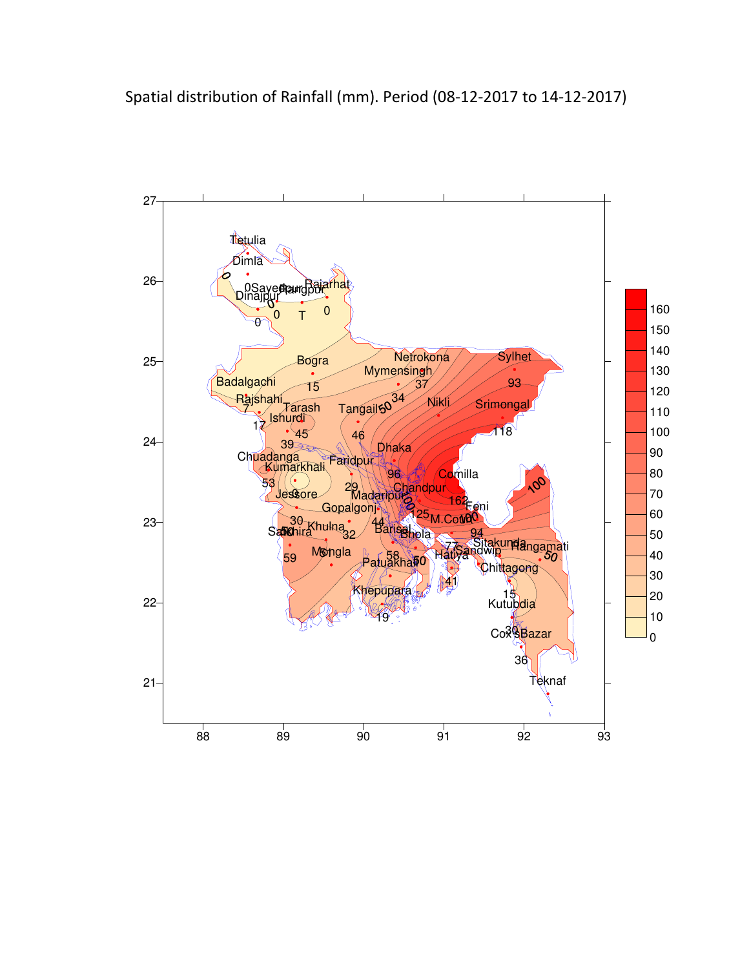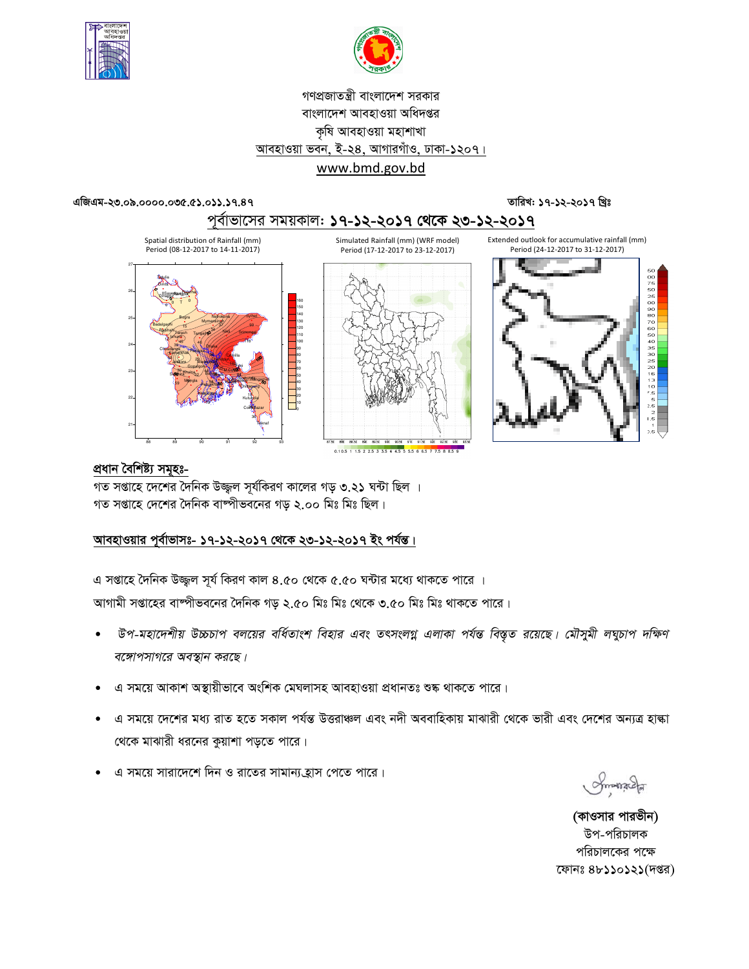



# গণপ্রজাতন্ত্রী বাংলাদেশ সরকার বাংলাদেশ আবহাওয়া অধিদপ্তর কৃষি আবহাওয়া মহাশাখা আবহাওয়া ভবন, ই-২8, আগারগাঁও, ঢাকা-১২০৭। www.bmd.gov.bd

#### এজিএম-২৩.০৯.০০০০.০৩৫.৫১.০১১.১৭.৪৭

তারিখ: ১৭-১২-২০১৭ খ্রিঃ



# <u>প্ৰধান বৈশিষ্ট্য সমূহঃ-</u>

গত সপ্তাহে দেশের দৈনিক উজ্জ্বল সূর্যকিরণ কালের গড় ৩.২১ ঘন্টা ছিল । গত সপ্তাহে দেশের দৈনিক বাষ্পীভবনের গড় ২.০০ মিঃ মিঃ ছিল।

# আবহাওয়ার পূর্বাভাসঃ- ১৭-১২-২০১৭ থেকে ২৩-১২-২০১৭ ইং পর্যন্ত।

এ সপ্তাহে দৈনিক উজ্জুল সূর্য কিরণ কাল ৪.৫০ থেকে ৫.৫০ ঘন্টার মধ্যে থাকতে পারে । আগামী সপ্তাহের বাষ্পীভবনের দৈনিক গড় ২.৫০ মিঃ মিঃ থেকে ৩.৫০ মিঃ মিঃ থাকতে পারে।

- উপ-মহাদেশীয় উচ্চচাপ বলয়ের বর্ধিতাংশ বিহার এবং তৎসংলগ্ন এলাকা পর্যন্ত বিস্তৃত রয়েছে। মৌসুমী লঘুচাপ দক্ষিণ বঙ্গোপসাগরে অবস্থান করছে।
- এ সময়ে আকাশ অস্থায়ীভাবে অংশিক মেঘলাসহ আবহাওয়া প্ৰধানতঃ শুষ্ক থাকতে পারে।
- এ সময়ে দেশের মধ্য রাত হতে সকাল পর্যন্ত উত্তরাঞ্চল এবং নদী অববাহিকায় মাঝারী থেকে ভারী এবং দেশের অন্যত্র হাল্কা থেকে মাঝারী ধরনের কুয়াশা পড়তে পারে।
- এ সময়ে সারাদেশে দিন ও রাতের সামান্য হ্রাস পেতে পারে।

Smanach

(কাওসার পারভীন) উপ-পরিচালক পরিচালকের পক্ষে ফোনঃ ৪৮১১০১২১(দপ্তর)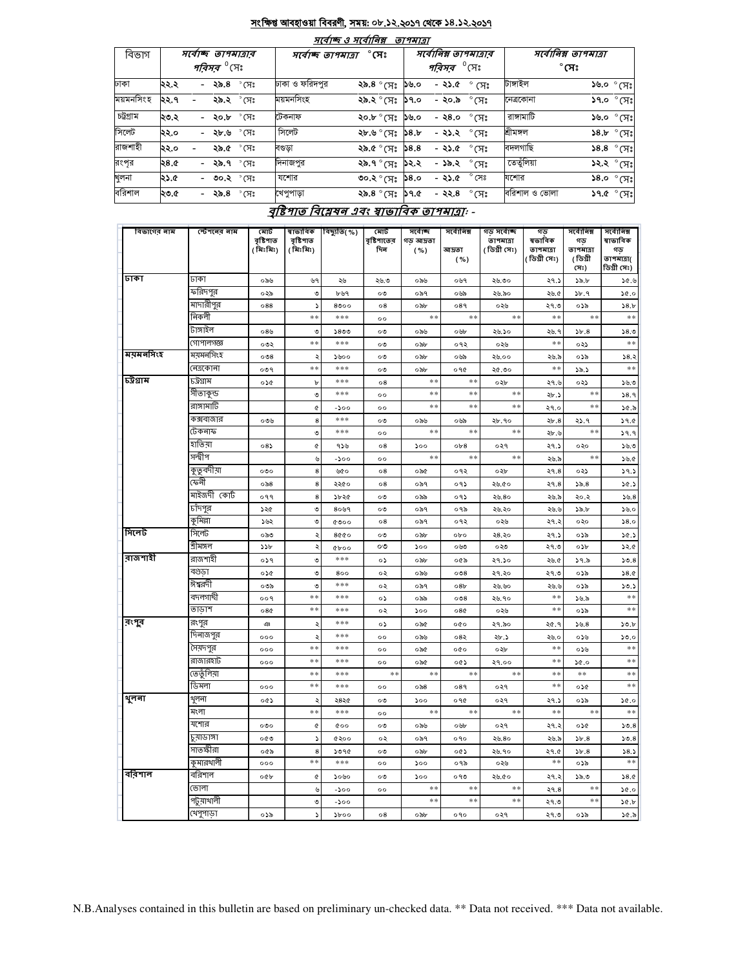#### সংক্ষিপ্ত আবহাওয়া বিবরণী, সময়: ০৮.১২.২০১৭ থেকে ১৪.১২.২০১৭

| তাপমাত্রা |      |                                                     |                                      |                          |      |                                                        |                |                                      |                                |  |  |  |
|-----------|------|-----------------------------------------------------|--------------------------------------|--------------------------|------|--------------------------------------------------------|----------------|--------------------------------------|--------------------------------|--|--|--|
| বিভাগ     |      | স্বোচ্ছ তাপমাত্ৰাৰ<br><i>পরিসর <sup>৩</sup></i> সেঃ | $^\circ$ সেঃ<br>সর্বোচ্ছ ত্রাপমাত্রা |                          |      | সর্বোনিম্ন তাপমাত্রার<br><i>পরিসর <sup>৩</sup></i> সেঃ |                | সর্বোনিম্ন তাপমাত্রা<br>$^\circ$ সেঃ |                                |  |  |  |
| ঢাকা      | ২২.২ | - ২৯.৪ ° সেঃ                                        | ঢাকা ও ফরিদপুর                       | ২৯.৪ ° সেঃ               | ১৬.০ | $-82.0^\circ$ $\sqrt{5}$ .                             |                | টাঙ্গাইল                             | $\mathcal{S}^{\infty}$ ০.৬৫    |  |  |  |
| ময়মনসিংহ | ২২.৭ | ২৯.২ ° সেঃ                                          | ময়মনসিংহ                            | ২৯.২ ° সেঃ               | 59.0 | - ২০.৯ $\degree$ সেঃ                                   |                | নেত্ৰকোনা                            | $$9.0$ $^{\circ}$ (সঃ          |  |  |  |
| চট্টগ্ৰাম | ২৩.২ | °সেঃ<br>- ২০.৮                                      | টেকনাফ                               | ২০.৮ ° সেঃ               | ১৬.০ | - ২৪.০                                                 | $\degree$ (সঃ  | রাসামাটি                             | $\sqrt[3]{6.0}$ $\degree$ (সেঃ |  |  |  |
| সিলেট     | ২২.০ | - <b>২৮.৬</b> °সেঃ                                  | সিলেট                                | ২৮.৬ ° (সঃ               | 38.5 | - <b>২১.২</b> ° সেঃ                                    |                | শ্ৰীমঙ্গল                            | $38.5^\circ$ (H;               |  |  |  |
| রাজশাহী   | ২২.০ | ২৯.৫ ° সেঃ                                          | বণ্ডড়া                              | ংম)° গু,                 | 38.8 | - ২১.৫ $^{\circ}$ সেঃ                                  |                | বদলগাছি                              | $$8.8$ $°$ (F;                 |  |  |  |
| রংপৃর     | ২৪.৫ | <b>২৯.৭</b> ° সেঃ<br>$\sim$                         | দিনাজপুর                             | ২৯.৭ ° সেঃ               | ১২.২ | - ১৯.২                                                 | $^\circ$ (সঃ   | তেতুঁলিয়া                           | ১২.২ ° সেঃ                     |  |  |  |
| খুলনা     | ২১.৫ | - ৩০.২ °CI:                                         | যশোর                                 | ৩০.২ ° সেঃ               | 58.0 | - ২১.৫                                                 | $^{\circ}$ সেঃ | যশোর                                 | $$8.0^{\circ}$ সেঃ             |  |  |  |
| বরিশাল    | ২৩.৫ | - ২৯.৪ ° সেঃ                                        | খেপুপাড়া                            | ২৯.৪ $^{\circ}$ (সঃ ১৭.৫ |      | - ২২.৪                                                 | $^\circ$ সেঃ   | বরিশাল ও ভোলা                        | $$9.0^{\circ}$ $$9.7^{\circ}$  |  |  |  |

# বৃষ্টিপাত বিশ্লেষন এবং ম্বাভাবিক তাপমাত্রা: -

| বিভাগের নাম | স্টেশনের নাম       | মোট<br>বৃষ্টিপাত<br>( মিঃমিঃ) | ষাভাবিক<br>বৃষ্টিপাত<br>( মিঃমিঃ) | বিছ্যুতি(%) | মোট<br>বৃষ্টিশাতের<br>দিন | সৰ্বোচ্ছ<br>গড় আদ্রতা<br>( %) | সৰ্বোনিম্ন<br>আদ্ৰতা<br>( %) | গড় সৰ্বোচ্ছ<br>তাপমাত্রা<br>( ডিগ্ৰী সেঃ) | গড<br>ষভাবিক<br>তাপমাত্রা<br>[ডিগ্রী সেঃ) | সৰ্বোনিম্ন<br>গড়<br>তাপমাত্রা<br>(ডিগ্ৰী | সৰ্বোনিম্ন<br>ষাভাবিক<br>গড<br>তাপমাত্রা( |
|-------------|--------------------|-------------------------------|-----------------------------------|-------------|---------------------------|--------------------------------|------------------------------|--------------------------------------------|-------------------------------------------|-------------------------------------------|-------------------------------------------|
| ঢাকা        |                    |                               |                                   |             |                           |                                |                              |                                            |                                           | (সঃ)                                      | ডিগ্ৰী সেঃ)                               |
|             | ঢাকা               | ০৯৬                           | ৬৭                                | ২৬          | ২৬.৩                      | ০৯৬                            | ০৬৭                          | ২৬.৩০                                      | ২৭.১                                      | ১৯.৮                                      | ১৫.৬                                      |
|             | ফরিদপুর            | ০২৯                           | ৩                                 | ৮৬৭         | ০৩                        | ০৯৭                            | ০৬৯                          | ২৬.৯০                                      | ২৬.৫                                      | ১৮.৭                                      | 30.0                                      |
|             | মাদারীপুর<br>নিকলী | 088                           | $\overline{\phantom{a}}$          | 8000        | $^{\circ8}$               | ০৯৮                            | 089                          | ০২৬                                        | ২৭.৩                                      | ০১৯                                       | 58.b                                      |
|             |                    |                               | **                                | ***         | $^{\circ}$                | $*$ *                          | **                           | **                                         | $**$                                      | **                                        | $\ast$ $\ast$                             |
|             | টাঙ্গাইল           | $08$ ৬                        | ৩                                 | 5800        | ০৩                        | ০৯৬                            | ০৬৮                          | ২৬.১০                                      | ২৬. ৭                                     | 5b.8                                      | 58.0                                      |
|             | গোপালগজ্ঞ          | ০৩২                           | $**$                              | ***         | ೲ                         | ০৯৮                            | ०१२                          | ০২৬                                        | **                                        | ০২১                                       | $**$                                      |
| ময়মনসিংহ   | ময়মনসিংহ          | $\circ$                       | ډ                                 | ১৬০০        | ০৩                        | ০৯৮                            | ০৬৯                          | ২৬.০০                                      | ২৬.৯                                      | ০১৯                                       | 38.3                                      |
|             | নেত্ৰকোনা          | 009                           | $**$                              | ***         | ০৩                        | ০৯৮                            | ०१৫                          | ২৫.৩০                                      | $**$                                      | ১৯.১                                      | $**$                                      |
| চট্ৰগ্ৰাম   | ঢট্রগ্রাম          | ০১৫                           | Ъ                                 | ***         | $^{\circ8}$               | $**$                           | **                           | ০২৮                                        | ২৭.৬                                      | ০২১                                       | ১৬.৩                                      |
|             | সীতাকুন্ড          |                               | ৩                                 | ***         | $\circ \circ$             | $**$                           | **                           | **                                         | ২৮.১                                      | **                                        | 38.9                                      |
|             | রাঙ্গামার্টি       |                               | ¢                                 | $-500$      | $^{oo}$                   | $**$                           | $**$                         | **                                         | ২৭.০                                      | **                                        | ১৫.৯                                      |
|             | কক্সবাজার          | ০৩৬                           | 8                                 | ***         | ಂ                         | ০৯৬                            | ০৬৯                          | ২৮.৭০                                      | ২৮.৪                                      | 9. دډ                                     | 39.0                                      |
|             | টেকনাফ             |                               | ৩                                 | ***         | $^{\circ}$                | $**$                           | **                           | $**$                                       | ২৮.৬                                      | **                                        | 39.9                                      |
|             | হাতিয়া            | $08\lambda$                   | ¢                                 | 956         | $^{\circ8}$               | 500                            | ob8                          | ०२१                                        | ২৭.১                                      | ০২০                                       | 5.5.5                                     |
|             | সন্দ্বীপ           |                               | ৬                                 | $-500$      | $\circ \circ$             | $**$                           | **                           | $**$                                       | ২৬.৯                                      | **                                        | ১৬.৫                                      |
|             | কুতুবদীয়া         | $\circ \circ \circ$           | $\bf8$                            | ৬৫০         | ο8                        | ০৯৫                            | ०१२                          | ০২৮                                        | ২৭.৪                                      | ০২১                                       | 39.3                                      |
|             | কেনী               | $\circ$ ನಿ8                   | $\bf8$                            | ২২৫০        | $^{\circ8}$               | ০৯৭                            | ०१১                          | ২৬.৫০                                      | ২৭.৪                                      | 55.8                                      | 30.3                                      |
|             | মাইজদী কোর্ট       | ०११                           | 8                                 | ১৮২৫        | ০৩                        | ০৯৯                            | ०१১                          | ২৬.৪০                                      | ২৬.৯                                      | ২০.২                                      | 56.8                                      |
|             | চাঁদপুর            | ১২৫                           | ৩                                 | 8099        | ০৩                        | ০৯৭                            | ০৭৯                          | ২৬.২০                                      | ২৬.৬                                      | ১৯.৮                                      | 38.0                                      |
|             | কুমিল্লা           | ১৬২                           | ৩                                 | 0000        | ο8                        | ০৯৭                            | ०१२                          | ০২৬                                        | ২৭.২                                      | ০২০                                       | 58.0                                      |
| সিলেট       | সিলেট              | ಂನಿಲ                          | ২                                 | 8000        | ০৩                        | ০৯৮                            | obo                          | ২৪.২০                                      | ২৭.১                                      | ০১৯                                       | 30.5                                      |
|             | শ্ৰীমঙ্গল          | 55b                           | ২                                 | $Qb$ 00     | ೲ                         | 500                            | ০৬৩                          | ০২৩                                        | ২৭.৩                                      | ০১৮                                       | 32.0                                      |
| রাজশাহী     | রাজশাহী            | ०১৭                           | ৩                                 | ***         | ०১                        | ০৯৮                            | ০৫৯                          | ২৭.১০                                      | ২৬.৫                                      | 39.5                                      | 50.8                                      |
|             | বগুডা              | ০১৫                           | ৩                                 | 800         | ০২                        | ০৯৬                            | 0.38                         | ২৭.২০                                      | ২৭.৩                                      | ০১৯                                       | 38.0                                      |
|             | ঈশ্বরদী            | ০৩৯                           | ৩                                 | ***         | ০২                        | ০৯৭                            | 08 <sub>b</sub>              | ২৬.৬০                                      | ২৬.৬                                      | ০১৯                                       | 50.5                                      |
|             | বদলগাঘী            | ००१                           | $**$                              | ***         | ०১                        | ০৯৯                            | 0.38                         | ২৬.৭০                                      | $**$                                      | ১৬.৯                                      | $\ast$ $\ast$                             |
|             | তাডাশ              | 08Q                           | **                                | ***         | ০২                        | ১০০                            | 08Q                          | ০২৬                                        | $**$                                      | ০১৯                                       | $**$                                      |
| রংগুর       | রংপুর              | ঞ                             | ২                                 | ***         | o۵                        | ০৯৫                            | oQo                          | ২৭.৯০                                      | ২৫.৭                                      | 55.8                                      | 50.b                                      |
|             | দিনাজপুর           | 000                           | ډ                                 | ***         | $^{\circ}$                | ০৯৬                            | ০৪২                          | ২৮.১                                       | ২৬.০                                      | ০১৬                                       | 50.0                                      |
|             | সৈয়দপুর           | 000                           | **                                | ***         | $^{\circ}$                | ০৯৫                            | oQo                          | ০২৮                                        | $**$                                      | ০১৬                                       | **                                        |
|             | রাজারহাট           | 000                           | **                                | ***         | 00                        | ০৯৫                            | ০৫১                          | २१.००                                      | $**$                                      | 0.96                                      | $**$                                      |
|             | তেতুঁলিয়া         |                               | **                                | ***         | $**$                      | $\ast$ $\ast$                  | **                           | $**$                                       | $**$                                      | **                                        | $**$                                      |
|             | ডিমলা              | 000                           | **                                | ***         | $^{\circ}$                | ০৯৪                            | ०8१                          | ०२१                                        | $**$                                      | ০১৫                                       | $**$                                      |
| থুলনা       | থুলনা              | 003                           | $\ddot{\phantom{0}}$              | ২৪২৫        | ০৩                        | 500                            | ०१৫                          | ०२१                                        | ২৭.১                                      | ০১৯                                       | 30.0                                      |
|             | মংলা               |                               | **                                | ***         | $^{\circ}$                | $**$                           | **                           | $**$                                       | $**$                                      | **                                        | $***$                                     |
|             | যশোর               | $\circ \circ \circ$           | ¢                                 | <b>coo</b>  | ০৩                        | ০৯৬                            | ০৬৮                          | ०२१                                        | ২৭.২                                      | ०১৫                                       | 50.8                                      |
|             | চুয়াডাঙ্গা        | ০৫৩                           | $\blacktriangleright$             | ৫২০০        | ০২                        | ০৯৭                            | ०१०                          | ২৬.৪০                                      | ২৬.৯                                      | 5b.8                                      | 50.8                                      |
|             | সাতক্ষীরা          | ০৫৯                           | 8                                 | 5090        | ০৩                        | ০৯৮                            | ০৫১                          | ২৬.৭০                                      | ২৭.৫                                      | 5b.8                                      | 58.5                                      |
|             | কুমারথালী          | 000                           | **                                | ***         | $^{\circ}$                | 500                            | ०१৯                          | ০২৬                                        | $**$                                      | ০১৯                                       | **                                        |
| ববিশাল      | বরিশাল             |                               |                                   |             |                           |                                |                              |                                            |                                           |                                           |                                           |
|             |                    | oQb                           | ¢                                 | ১০৬০        | ০৩                        | ১০০<br>$*$ *                   | ০৭৩<br>**                    | ২৬.৫০<br>**                                | ২৭.২                                      | ১৯.৩<br>**                                | 38.0                                      |
|             | ভোলা               |                               | ৬                                 | $-500$      | $^{\circ}$                | $**$                           | **                           | **                                         | २१.8                                      | **                                        | 30.0                                      |
|             | পটুয়াথালী         |                               | ৩                                 | $-200$      |                           |                                |                              |                                            | ২৭.৩                                      |                                           | 50.5                                      |
|             | খেপুপাড়া          | ০১৯                           | ς                                 | $\delta$    | 08                        | ০৯৮                            | ०१०                          | ०२१                                        | ২৭.৩                                      | ০১৯                                       | ১৫.৯                                      |